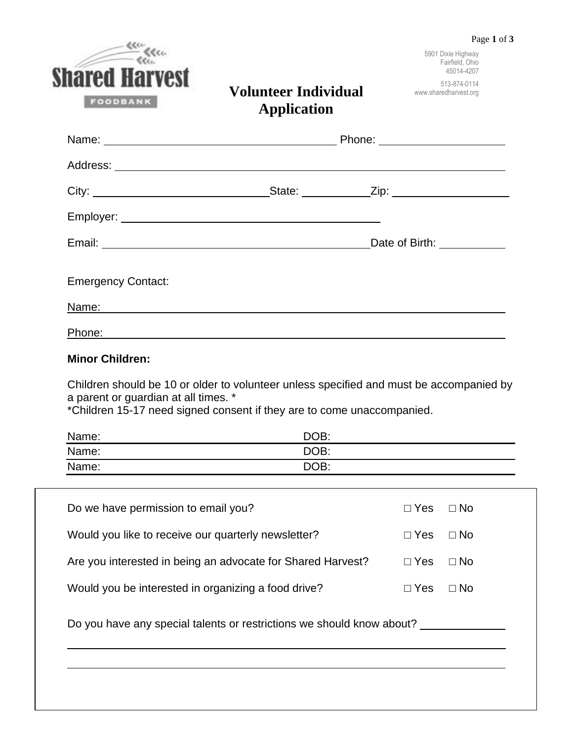|                                                             |                                                                                                                                                                   | Page 1 of 3 |                                                     |
|-------------------------------------------------------------|-------------------------------------------------------------------------------------------------------------------------------------------------------------------|-------------|-----------------------------------------------------|
|                                                             |                                                                                                                                                                   |             | 5901 Dixie Highway<br>Fairfield, Ohio<br>45014-4207 |
| <b>Shared Harvest</b><br>FOODBANK                           | <b>Volunteer Individual</b><br><b>Application</b>                                                                                                                 |             | 513-874-0114<br>www.sharedharvest.org               |
|                                                             | Name: Name: 2008 2012 2022 2023 2024 2022 2023 2024 2022 2023 2024 2022 2023 2024 2022 2023 2024 2022 2023 202                                                    |             |                                                     |
|                                                             |                                                                                                                                                                   |             |                                                     |
|                                                             |                                                                                                                                                                   |             |                                                     |
|                                                             |                                                                                                                                                                   |             |                                                     |
|                                                             |                                                                                                                                                                   |             |                                                     |
| <b>Emergency Contact:</b>                                   |                                                                                                                                                                   |             |                                                     |
|                                                             | Name: Name:                                                                                                                                                       |             |                                                     |
|                                                             |                                                                                                                                                                   |             |                                                     |
| <b>Minor Children:</b>                                      |                                                                                                                                                                   |             |                                                     |
| a parent or guardian at all times. *                        | Children should be 10 or older to volunteer unless specified and must be accompanied by<br>*Children 15-17 need signed consent if they are to come unaccompanied. |             |                                                     |
| Name:                                                       | DOB:                                                                                                                                                              |             |                                                     |
| Name:                                                       | DOB:                                                                                                                                                              |             |                                                     |
| Name:                                                       | DOB:                                                                                                                                                              |             |                                                     |
| Do we have permission to email you?                         |                                                                                                                                                                   | $\Box$ Yes  | $\Box$ No                                           |
| Would you like to receive our quarterly newsletter?         |                                                                                                                                                                   | $\Box$ Yes  | $\Box$ No                                           |
| Are you interested in being an advocate for Shared Harvest? |                                                                                                                                                                   | $\Box$ Yes  | $\Box$ No                                           |

Would you be interested in organizing a food drive? □ Yes □ No

Do you have any special talents or restrictions we should know about? \_\_\_\_\_\_\_\_\_\_\_

 $\mathcal{L}_\mathcal{L} = \mathcal{L}_\mathcal{L} = \mathcal{L}_\mathcal{L} = \mathcal{L}_\mathcal{L} = \mathcal{L}_\mathcal{L} = \mathcal{L}_\mathcal{L} = \mathcal{L}_\mathcal{L} = \mathcal{L}_\mathcal{L} = \mathcal{L}_\mathcal{L} = \mathcal{L}_\mathcal{L} = \mathcal{L}_\mathcal{L} = \mathcal{L}_\mathcal{L} = \mathcal{L}_\mathcal{L} = \mathcal{L}_\mathcal{L} = \mathcal{L}_\mathcal{L} = \mathcal{L}_\mathcal{L} = \mathcal{L}_\mathcal{L}$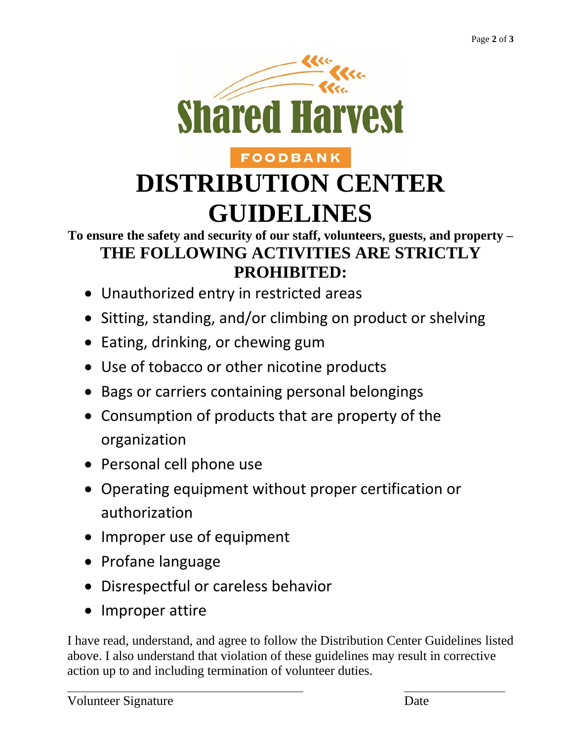

# **FOODBANK DISTRIBUTION CENTER GUIDELINES**

## **To ensure the safety and security of our staff, volunteers, guests, and property – THE FOLLOWING ACTIVITIES ARE STRICTLY PROHIBITED:**

- Unauthorized entry in restricted areas
- Sitting, standing, and/or climbing on product or shelving
- Eating, drinking, or chewing gum
- Use of tobacco or other nicotine products
- Bags or carriers containing personal belongings
- Consumption of products that are property of the organization
- Personal cell phone use
- Operating equipment without proper certification or authorization
- Improper use of equipment
- Profane language
- Disrespectful or careless behavior
- Improper attire

I have read, understand, and agree to follow the Distribution Center Guidelines listed above. I also understand that violation of these guidelines may result in corrective action up to and including termination of volunteer duties.